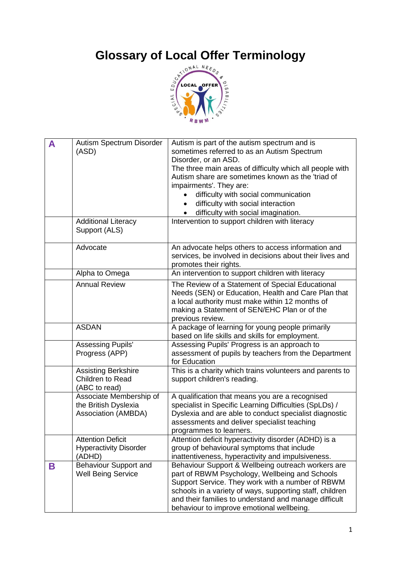

| A | Autism Spectrum Disorder<br>(ASD)<br><b>Additional Literacy</b><br>Support (ALS) | Autism is part of the autism spectrum and is<br>sometimes referred to as an Autism Spectrum<br>Disorder, or an ASD.<br>The three main areas of difficulty which all people with<br>Autism share are sometimes known as the 'triad of<br>impairments'. They are:<br>difficulty with social communication<br>difficulty with social interaction<br>difficulty with social imagination.<br>Intervention to support children with literacy |
|---|----------------------------------------------------------------------------------|----------------------------------------------------------------------------------------------------------------------------------------------------------------------------------------------------------------------------------------------------------------------------------------------------------------------------------------------------------------------------------------------------------------------------------------|
|   | Advocate                                                                         | An advocate helps others to access information and<br>services, be involved in decisions about their lives and<br>promotes their rights.                                                                                                                                                                                                                                                                                               |
|   | Alpha to Omega                                                                   | An intervention to support children with literacy                                                                                                                                                                                                                                                                                                                                                                                      |
|   | <b>Annual Review</b>                                                             | The Review of a Statement of Special Educational<br>Needs (SEN) or Education, Health and Care Plan that<br>a local authority must make within 12 months of<br>making a Statement of SEN/EHC Plan or of the<br>previous review.                                                                                                                                                                                                         |
|   | <b>ASDAN</b>                                                                     | A package of learning for young people primarily<br>based on life skills and skills for employment.                                                                                                                                                                                                                                                                                                                                    |
|   | <b>Assessing Pupils'</b><br>Progress (APP)                                       | Assessing Pupils' Progress is an approach to<br>assessment of pupils by teachers from the Department<br>for Education                                                                                                                                                                                                                                                                                                                  |
|   | Assisting Berkshire<br>Children to Read<br>(ABC to read)                         | This is a charity which trains volunteers and parents to<br>support children's reading.                                                                                                                                                                                                                                                                                                                                                |
|   | Associate Membership of<br>the British Dyslexia<br>Association (AMBDA)           | A qualification that means you are a recognised<br>specialist in Specific Learning Difficulties (SpLDs) /<br>Dyslexia and are able to conduct specialist diagnostic<br>assessments and deliver specialist teaching<br>programmes to learners.                                                                                                                                                                                          |
|   | <b>Attention Deficit</b><br><b>Hyperactivity Disorder</b><br>(ADHD)              | Attention deficit hyperactivity disorder (ADHD) is a<br>group of behavioural symptoms that include<br>inattentiveness, hyperactivity and impulsiveness.                                                                                                                                                                                                                                                                                |
| B | Behaviour Support and<br><b>Well Being Service</b>                               | Behaviour Support & Wellbeing outreach workers are<br>part of RBWM Psychology, Wellbeing and Schools<br>Support Service. They work with a number of RBWM<br>schools in a variety of ways, supporting staff, children<br>and their families to understand and manage difficult<br>behaviour to improve emotional wellbeing.                                                                                                             |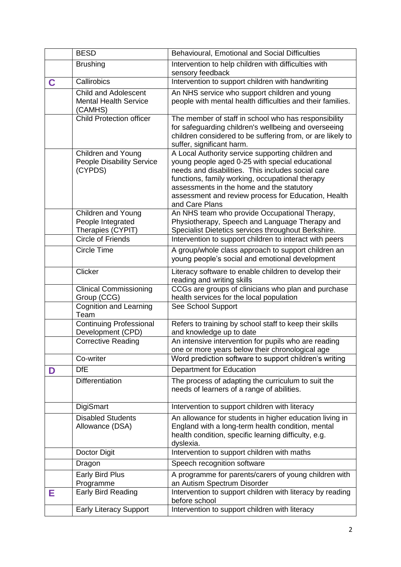|   | <b>BESD</b>                                                            | Behavioural, Emotional and Social Difficulties                                                                                                                                                                                                                                                                                     |
|---|------------------------------------------------------------------------|------------------------------------------------------------------------------------------------------------------------------------------------------------------------------------------------------------------------------------------------------------------------------------------------------------------------------------|
|   | <b>Brushing</b>                                                        | Intervention to help children with difficulties with<br>sensory feedback                                                                                                                                                                                                                                                           |
| C | Callirobics                                                            | Intervention to support children with handwriting                                                                                                                                                                                                                                                                                  |
|   | <b>Child and Adolescent</b><br><b>Mental Health Service</b><br>(CAMHS) | An NHS service who support children and young<br>people with mental health difficulties and their families.                                                                                                                                                                                                                        |
|   | <b>Child Protection officer</b>                                        | The member of staff in school who has responsibility<br>for safeguarding children's wellbeing and overseeing<br>children considered to be suffering from, or are likely to<br>suffer, significant harm.                                                                                                                            |
|   | Children and Young<br><b>People Disability Service</b><br>(CYPDS)      | A Local Authority service supporting children and<br>young people aged 0-25 with special educational<br>needs and disabilities. This includes social care<br>functions, family working, occupational therapy<br>assessments in the home and the statutory<br>assessment and review process for Education, Health<br>and Care Plans |
|   | <b>Children and Young</b><br>People Integrated<br>Therapies (CYPIT)    | An NHS team who provide Occupational Therapy,<br>Physiotherapy, Speech and Language Therapy and<br>Specialist Dietetics services throughout Berkshire.                                                                                                                                                                             |
|   | <b>Circle of Friends</b>                                               | Intervention to support children to interact with peers                                                                                                                                                                                                                                                                            |
|   | <b>Circle Time</b>                                                     | A group/whole class approach to support children an<br>young people's social and emotional development                                                                                                                                                                                                                             |
|   | Clicker                                                                | Literacy software to enable children to develop their<br>reading and writing skills                                                                                                                                                                                                                                                |
|   | <b>Clinical Commissioning</b><br>Group (CCG)                           | CCGs are groups of clinicians who plan and purchase<br>health services for the local population                                                                                                                                                                                                                                    |
|   | <b>Cognition and Learning</b><br>Team                                  | See School Support                                                                                                                                                                                                                                                                                                                 |
|   | <b>Continuing Professional</b><br>Development (CPD)                    | Refers to training by school staff to keep their skills<br>and knowledge up to date                                                                                                                                                                                                                                                |
|   | <b>Corrective Reading</b>                                              | An intensive intervention for pupils who are reading<br>one or more years below their chronological age                                                                                                                                                                                                                            |
|   | Co-writer                                                              | Word prediction software to support children's writing                                                                                                                                                                                                                                                                             |
| D | <b>DfE</b>                                                             | <b>Department for Education</b>                                                                                                                                                                                                                                                                                                    |
|   | Differentiation                                                        | The process of adapting the curriculum to suit the<br>needs of learners of a range of abilities.                                                                                                                                                                                                                                   |
|   | <b>DigiSmart</b>                                                       | Intervention to support children with literacy                                                                                                                                                                                                                                                                                     |
|   | <b>Disabled Students</b><br>Allowance (DSA)                            | An allowance for students in higher education living in<br>England with a long-term health condition, mental<br>health condition, specific learning difficulty, e.g.<br>dyslexia.                                                                                                                                                  |
|   | Doctor Digit                                                           | Intervention to support children with maths                                                                                                                                                                                                                                                                                        |
|   | Dragon                                                                 | Speech recognition software                                                                                                                                                                                                                                                                                                        |
|   | <b>Early Bird Plus</b>                                                 | A programme for parents/carers of young children with                                                                                                                                                                                                                                                                              |
| Е | Programme<br>Early Bird Reading                                        | an Autism Spectrum Disorder<br>Intervention to support children with literacy by reading<br>before school                                                                                                                                                                                                                          |
|   | <b>Early Literacy Support</b>                                          | Intervention to support children with literacy                                                                                                                                                                                                                                                                                     |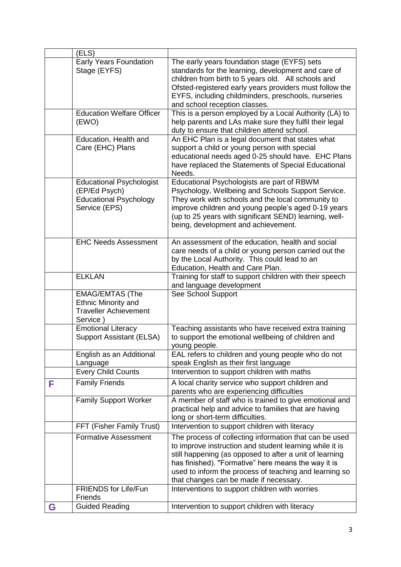|   | (ELS)                                                                                              |                                                                                                                                                                                                                                                                                                                                         |
|---|----------------------------------------------------------------------------------------------------|-----------------------------------------------------------------------------------------------------------------------------------------------------------------------------------------------------------------------------------------------------------------------------------------------------------------------------------------|
|   | <b>Early Years Foundation</b><br>Stage (EYFS)                                                      | The early years foundation stage (EYFS) sets<br>standards for the learning, development and care of<br>children from birth to 5 years old. All schools and<br>Ofsted-registered early years providers must follow the<br>EYFS, including childminders, preschools, nurseries<br>and school reception classes.                           |
|   | <b>Education Welfare Officer</b><br>(EWO)                                                          | This is a person employed by a Local Authority (LA) to<br>help parents and LAs make sure they fulfil their legal<br>duty to ensure that children attend school.                                                                                                                                                                         |
|   | Education, Health and<br>Care (EHC) Plans                                                          | An EHC Plan is a legal document that states what<br>support a child or young person with special<br>educational needs aged 0-25 should have. EHC Plans<br>have replaced the Statements of Special Educational<br>Needs.                                                                                                                 |
|   | <b>Educational Psychologist</b><br>(EP/Ed Psych)<br><b>Educational Psychology</b><br>Service (EPS) | Educational Psychologists are part of RBWM<br>Psychology, Wellbeing and Schools Support Service.<br>They work with schools and the local community to<br>improve children and young people's aged 0-19 years<br>(up to 25 years with significant SEND) learning, well-<br>being, development and achievement.                           |
|   | <b>EHC Needs Assessment</b>                                                                        | An assessment of the education, health and social<br>care needs of a child or young person carried out the<br>by the Local Authority. This could lead to an<br>Education, Health and Care Plan.                                                                                                                                         |
|   | <b>ELKLAN</b>                                                                                      | Training for staff to support children with their speech<br>and language development                                                                                                                                                                                                                                                    |
|   | <b>EMAG/EMTAS (The</b><br><b>Ethnic Minority and</b><br><b>Traveller Achievement</b><br>Service)   | See School Support                                                                                                                                                                                                                                                                                                                      |
|   | <b>Emotional Literacy</b><br><b>Support Assistant (ELSA)</b>                                       | Teaching assistants who have received extra training<br>to support the emotional wellbeing of children and<br>young people.                                                                                                                                                                                                             |
|   | English as an Additional<br>Language<br><b>Every Child Counts</b>                                  | EAL refers to children and young people who do not<br>speak English as their first language<br>Intervention to support children with maths                                                                                                                                                                                              |
| F | <b>Family Friends</b>                                                                              | A local charity service who support children and                                                                                                                                                                                                                                                                                        |
|   | <b>Family Support Worker</b>                                                                       | parents who are experiencing difficulties<br>A member of staff who is trained to give emotional and<br>practical help and advice to families that are having<br>long or short-term difficulties.                                                                                                                                        |
|   | FFT (Fisher Family Trust)                                                                          | Intervention to support children with literacy                                                                                                                                                                                                                                                                                          |
|   | <b>Formative Assessment</b>                                                                        | The process of collecting information that can be used<br>to improve instruction and student learning while it is<br>still happening (as opposed to after a unit of learning<br>has finished). "Formative" here means the way it is<br>used to inform the process of teaching and learning so<br>that changes can be made if necessary. |
|   | <b>FRIENDS for Life/Fun</b><br>Friends                                                             | Interventions to support children with worries                                                                                                                                                                                                                                                                                          |
| G | <b>Guided Reading</b>                                                                              | Intervention to support children with literacy                                                                                                                                                                                                                                                                                          |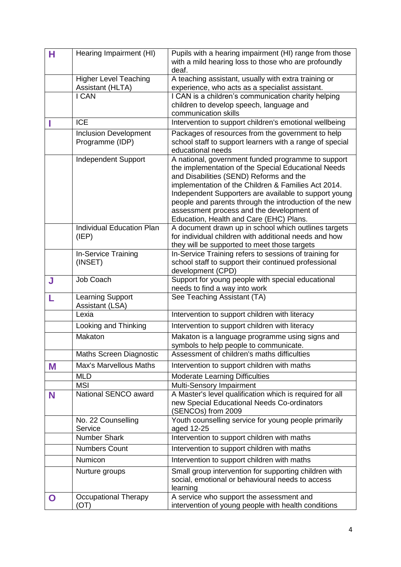| Н | Hearing Impairment (HI)                          | Pupils with a hearing impairment (HI) range from those<br>with a mild hearing loss to those who are profoundly<br>deaf.                                                                                                                                                                                                                                                                                                |
|---|--------------------------------------------------|------------------------------------------------------------------------------------------------------------------------------------------------------------------------------------------------------------------------------------------------------------------------------------------------------------------------------------------------------------------------------------------------------------------------|
|   | <b>Higher Level Teaching</b><br>Assistant (HLTA) | A teaching assistant, usually with extra training or<br>experience, who acts as a specialist assistant.                                                                                                                                                                                                                                                                                                                |
|   | I CAN                                            | I CAN is a children's communication charity helping<br>children to develop speech, language and<br>communication skills                                                                                                                                                                                                                                                                                                |
|   | <b>ICE</b>                                       | Intervention to support children's emotional wellbeing                                                                                                                                                                                                                                                                                                                                                                 |
|   | <b>Inclusion Development</b><br>Programme (IDP)  | Packages of resources from the government to help<br>school staff to support learners with a range of special<br>educational needs                                                                                                                                                                                                                                                                                     |
|   | <b>Independent Support</b>                       | A national, government funded programme to support<br>the implementation of the Special Educational Needs<br>and Disabilities (SEND) Reforms and the<br>implementation of the Children & Families Act 2014.<br>Independent Supporters are available to support young<br>people and parents through the introduction of the new<br>assessment process and the development of<br>Education, Health and Care (EHC) Plans. |
|   | <b>Individual Education Plan</b><br>(IEP)        | A document drawn up in school which outlines targets<br>for individual children with additional needs and how<br>they will be supported to meet those targets                                                                                                                                                                                                                                                          |
|   | In-Service Training<br>(INSET)                   | In-Service Training refers to sessions of training for<br>school staff to support their continued professional<br>development (CPD)                                                                                                                                                                                                                                                                                    |
| J | Job Coach                                        | Support for young people with special educational<br>needs to find a way into work                                                                                                                                                                                                                                                                                                                                     |
|   | Learning Support<br>Assistant (LSA)              | See Teaching Assistant (TA)                                                                                                                                                                                                                                                                                                                                                                                            |
|   | Lexia                                            | Intervention to support children with literacy                                                                                                                                                                                                                                                                                                                                                                         |
|   | Looking and Thinking                             | Intervention to support children with literacy                                                                                                                                                                                                                                                                                                                                                                         |
|   | Makaton                                          | Makaton is a language programme using signs and<br>symbols to help people to communicate.                                                                                                                                                                                                                                                                                                                              |
|   | <b>Maths Screen Diagnostic</b>                   | Assessment of children's maths difficulties                                                                                                                                                                                                                                                                                                                                                                            |
| M | Max's Marvellous Maths                           | Intervention to support children with maths                                                                                                                                                                                                                                                                                                                                                                            |
|   | <b>MLD</b>                                       | <b>Moderate Learning Difficulties</b>                                                                                                                                                                                                                                                                                                                                                                                  |
|   | <b>MSI</b>                                       | Multi-Sensory Impairment                                                                                                                                                                                                                                                                                                                                                                                               |
| N | National SENCO award                             | A Master's level qualification which is required for all<br>new Special Educational Needs Co-ordinators<br>(SENCOs) from 2009                                                                                                                                                                                                                                                                                          |
|   | No. 22 Counselling<br>Service                    | Youth counselling service for young people primarily<br>aged 12-25                                                                                                                                                                                                                                                                                                                                                     |
|   | <b>Number Shark</b>                              | Intervention to support children with maths                                                                                                                                                                                                                                                                                                                                                                            |
|   | <b>Numbers Count</b>                             | Intervention to support children with maths                                                                                                                                                                                                                                                                                                                                                                            |
|   | Numicon                                          | Intervention to support children with maths                                                                                                                                                                                                                                                                                                                                                                            |
|   | Nurture groups                                   | Small group intervention for supporting children with<br>social, emotional or behavioural needs to access<br>learning                                                                                                                                                                                                                                                                                                  |
| O | <b>Occupational Therapy</b><br>(OT)              | A service who support the assessment and<br>intervention of young people with health conditions                                                                                                                                                                                                                                                                                                                        |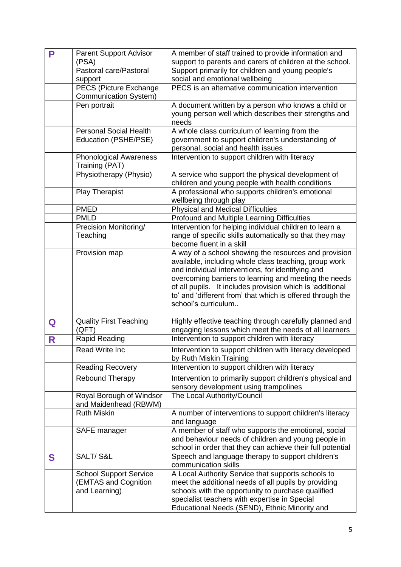| P | <b>Parent Support Advisor</b>     | A member of staff trained to provide information and                                |
|---|-----------------------------------|-------------------------------------------------------------------------------------|
|   | (PSA)                             | support to parents and carers of children at the school.                            |
|   | Pastoral care/Pastoral<br>support | Support primarily for children and young people's<br>social and emotional wellbeing |
|   | PECS (Picture Exchange            | PECS is an alternative communication intervention                                   |
|   | <b>Communication System)</b>      |                                                                                     |
|   | Pen portrait                      | A document written by a person who knows a child or                                 |
|   |                                   | young person well which describes their strengths and<br>needs                      |
|   | <b>Personal Social Health</b>     | A whole class curriculum of learning from the                                       |
|   | Education (PSHE/PSE)              | government to support children's understanding of                                   |
|   |                                   | personal, social and health issues                                                  |
|   | <b>Phonological Awareness</b>     | Intervention to support children with literacy                                      |
|   | Training (PAT)                    |                                                                                     |
|   | Physiotherapy (Physio)            | A service who support the physical development of                                   |
|   |                                   | children and young people with health conditions                                    |
|   | <b>Play Therapist</b>             | A professional who supports children's emotional                                    |
|   |                                   | wellbeing through play                                                              |
|   | <b>PMED</b>                       | <b>Physical and Medical Difficulties</b>                                            |
|   | <b>PMLD</b>                       | Profound and Multiple Learning Difficulties                                         |
|   | Precision Monitoring/             | Intervention for helping individual children to learn a                             |
|   | Teaching                          | range of specific skills automatically so that they may                             |
|   |                                   | become fluent in a skill                                                            |
|   | Provision map                     | A way of a school showing the resources and provision                               |
|   |                                   | available, including whole class teaching, group work                               |
|   |                                   | and individual interventions, for identifying and                                   |
|   |                                   | overcoming barriers to learning and meeting the needs                               |
|   |                                   | of all pupils. It includes provision which is 'additional                           |
|   |                                   | to' and 'different from' that which is offered through the                          |
|   |                                   | school's curriculum                                                                 |
|   |                                   |                                                                                     |
| Q | <b>Quality First Teaching</b>     | Highly effective teaching through carefully planned and                             |
|   | (QFT)                             | engaging lessons which meet the needs of all learners                               |
| R | Rapid Reading                     | Intervention to support children with literacy                                      |
|   | <b>Read Write Inc</b>             | Intervention to support children with literacy developed                            |
|   |                                   | by Ruth Miskin Training                                                             |
|   | <b>Reading Recovery</b>           | Intervention to support children with literacy                                      |
|   | Rebound Therapy                   | Intervention to primarily support children's physical and                           |
|   |                                   | sensory development using trampolines                                               |
|   | Royal Borough of Windsor          | The Local Authority/Council                                                         |
|   | and Maidenhead (RBWM)             |                                                                                     |
|   | <b>Ruth Miskin</b>                | A number of interventions to support children's literacy                            |
|   |                                   | and language                                                                        |
|   | SAFE manager                      | A member of staff who supports the emotional, social                                |
|   |                                   | and behaviour needs of children and young people in                                 |
|   |                                   | school in order that they can achieve their full potential                          |
| S | SALT/S&L                          | Speech and language therapy to support children's                                   |
|   |                                   | communication skills                                                                |
|   | <b>School Support Service</b>     | A Local Authority Service that supports schools to                                  |
|   | (EMTAS and Cognition              | meet the additional needs of all pupils by providing                                |
|   | and Learning)                     | schools with the opportunity to purchase qualified                                  |
|   |                                   | specialist teachers with expertise in Special                                       |
|   |                                   | Educational Needs (SEND), Ethnic Minority and                                       |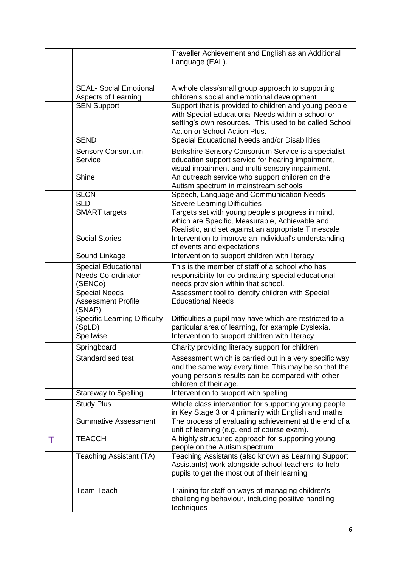|   |                                                       | Traveller Achievement and English as an Additional                                                            |
|---|-------------------------------------------------------|---------------------------------------------------------------------------------------------------------------|
|   |                                                       | Language (EAL).                                                                                               |
|   |                                                       |                                                                                                               |
|   | <b>SEAL- Social Emotional</b><br>Aspects of Learning' | A whole class/small group approach to supporting<br>children's social and emotional development               |
|   | <b>SEN Support</b>                                    | Support that is provided to children and young people                                                         |
|   |                                                       | with Special Educational Needs within a school or                                                             |
|   |                                                       | setting's own resources. This used to be called School<br>Action or School Action Plus.                       |
|   | <b>SEND</b>                                           | Special Educational Needs and/or Disabilities                                                                 |
|   | <b>Sensory Consortium</b>                             | Berkshire Sensory Consortium Service is a specialist                                                          |
|   | Service                                               | education support service for hearing impairment,                                                             |
|   |                                                       | visual impairment and multi-sensory impairment.                                                               |
|   | Shine                                                 | An outreach service who support children on the<br>Autism spectrum in mainstream schools                      |
|   | <b>SLCN</b>                                           | Speech, Language and Communication Needs                                                                      |
|   | <b>SLD</b>                                            | <b>Severe Learning Difficulties</b>                                                                           |
|   | <b>SMART</b> targets                                  | Targets set with young people's progress in mind,<br>which are Specific, Measurable, Achievable and           |
|   |                                                       | Realistic, and set against an appropriate Timescale                                                           |
|   | <b>Social Stories</b>                                 | Intervention to improve an individual's understanding                                                         |
|   |                                                       | of events and expectations                                                                                    |
|   | Sound Linkage                                         | Intervention to support children with literacy                                                                |
|   | <b>Special Educational</b>                            | This is the member of staff of a school who has                                                               |
|   | <b>Needs Co-ordinator</b>                             | responsibility for co-ordinating special educational                                                          |
|   | (SENCo)<br><b>Special Needs</b>                       | needs provision within that school.<br>Assessment tool to identify children with Special                      |
|   | <b>Assessment Profile</b><br>(SNAP)                   | <b>Educational Needs</b>                                                                                      |
|   | <b>Specific Learning Difficulty</b>                   | Difficulties a pupil may have which are restricted to a                                                       |
|   | (SpLD)                                                | particular area of learning, for example Dyslexia.                                                            |
|   | Spellwise                                             | Intervention to support children with literacy                                                                |
|   | Springboard                                           | Charity providing literacy support for children                                                               |
|   | Standardised test                                     | Assessment which is carried out in a very specific way                                                        |
|   |                                                       | and the same way every time. This may be so that the<br>young person's results can be compared with other     |
|   |                                                       | children of their age.                                                                                        |
|   | <b>Stareway to Spelling</b>                           | Intervention to support with spelling                                                                         |
|   | <b>Study Plus</b>                                     | Whole class intervention for supporting young people                                                          |
|   |                                                       | in Key Stage 3 or 4 primarily with English and maths<br>The process of evaluating achievement at the end of a |
|   | <b>Summative Assessment</b>                           | unit of learning (e.g. end of course exam).                                                                   |
| Т | <b>TEACCH</b>                                         | A highly structured approach for supporting young<br>people on the Autism spectrum                            |
|   | Teaching Assistant (TA)                               | Teaching Assistants (also known as Learning Support<br>Assistants) work alongside school teachers, to help    |
|   |                                                       | pupils to get the most out of their learning                                                                  |
|   | <b>Team Teach</b>                                     | Training for staff on ways of managing children's                                                             |
|   |                                                       | challenging behaviour, including positive handling<br>techniques                                              |